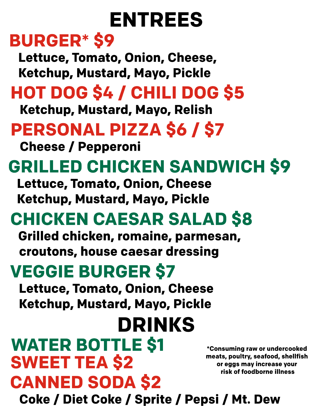# **ENTREES**

## **BURGER\*\$9**

Lettuce, Tomato, Onion, Cheese, **Ketchup, Mustard, Mayo, Pickle** 

## **HOTDOG\$4/CHILIDOG\$5**

**Ketchup, Mustard, Mayo, Relish** 

# **PERSONALPIZZA\$6/\$7**

**Cheese / Pepperoni** 

# **GRILLED CHICKEN SANDWICH \$9**

**Lettuce, Tomato, Onion, Cheese Ketchup, Mustard, Mayo, Pickle** 

# **CHICKENCAESARSALAD\$8**

**Grilled chicken, romaine, parmesan,** croutons, house caesar dressing

# **VEGGIE BURGER \$7**

**Lettuce, Tomato, Onion, Cheese Ketchup, Mustard, Mayo, Pickle** 

# **DRINKS**

## **CANNED SODA \$2 SWEET TEA \$2 WATER BOTTLE \$1**

**\*Consumingraworundercooked meats,poultry,seafood,shellfish oreggsmayincreaseyour riskoffoodborneillness**

**Coke/DietCoke/Sprite/Pepsi/Mt.Dew**